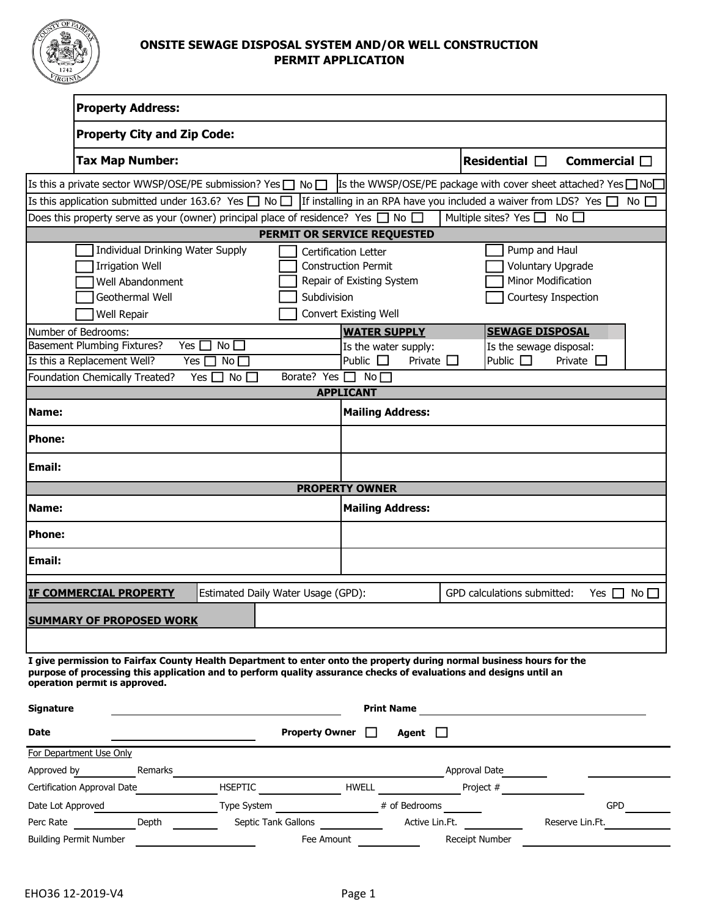

## **ONSITE SEWAGE DISPOSAL SYSTEM AND/OR WELL CONSTRUCTION PERMIT APPLICATION**

|                                                                                                                                                                                                                                                                              | <b>Property Address:</b>           |                                  |                                    |                              |                   |                                                                            |                         |                           |
|------------------------------------------------------------------------------------------------------------------------------------------------------------------------------------------------------------------------------------------------------------------------------|------------------------------------|----------------------------------|------------------------------------|------------------------------|-------------------|----------------------------------------------------------------------------|-------------------------|---------------------------|
|                                                                                                                                                                                                                                                                              | <b>Property City and Zip Code:</b> |                                  |                                    |                              |                   |                                                                            |                         |                           |
|                                                                                                                                                                                                                                                                              | <b>Tax Map Number:</b>             |                                  |                                    |                              |                   | Residential $\Box$                                                         |                         | Commercial $\Box$         |
| Is this a private sector WWSP/OSE/PE submission? Yes $\Box$ No $\Box$                                                                                                                                                                                                        |                                    |                                  |                                    |                              |                   | Is the WWSP/OSE/PE package with cover sheet attached? Yes $\Box$ No $\Box$ |                         |                           |
| Is this application submitted under 163.6? Yes $\Box$ No $\Box$                                                                                                                                                                                                              |                                    |                                  |                                    |                              |                   | If installing in an RPA have you included a waiver from LDS? Yes $\Box$    |                         | No $\Box$                 |
| Does this property serve as your (owner) principal place of residence? Yes $\Box$ No $\Box$                                                                                                                                                                                  |                                    |                                  |                                    |                              |                   | Multiple sites? Yes $\Box$                                                 | $No$ $\Box$             |                           |
|                                                                                                                                                                                                                                                                              | PERMIT OR SERVICE REQUESTED        |                                  |                                    |                              |                   |                                                                            |                         |                           |
|                                                                                                                                                                                                                                                                              | Individual Drinking Water Supply   |                                  |                                    | Certification Letter         |                   |                                                                            | Pump and Haul           |                           |
|                                                                                                                                                                                                                                                                              | <b>Irrigation Well</b>             |                                  |                                    | <b>Construction Permit</b>   |                   |                                                                            | Voluntary Upgrade       |                           |
|                                                                                                                                                                                                                                                                              | Well Abandonment                   |                                  | Repair of Existing System          |                              |                   | <b>Minor Modification</b>                                                  |                         |                           |
|                                                                                                                                                                                                                                                                              | Geothermal Well                    |                                  | Subdivision                        |                              |                   |                                                                            | Courtesy Inspection     |                           |
| Well Repair                                                                                                                                                                                                                                                                  |                                    |                                  |                                    | <b>Convert Existing Well</b> |                   |                                                                            |                         |                           |
| Number of Bedrooms:                                                                                                                                                                                                                                                          |                                    |                                  |                                    | <b>WATER SUPPLY</b>          |                   |                                                                            | <b>SEWAGE DISPOSAL</b>  |                           |
| <b>Basement Plumbing Fixtures?</b>                                                                                                                                                                                                                                           | Yes [                              | No                               |                                    | Is the water supply:         |                   |                                                                            | Is the sewage disposal: |                           |
| Is this a Replacement Well?                                                                                                                                                                                                                                                  |                                    | Yes $\square$<br>No <sub>1</sub> | Borate? Yes $\Box$ No $\Box$       | Public $\Box$                | Private $\square$ | Public $\Box$                                                              | Private $\square$       |                           |
| Foundation Chemically Treated?                                                                                                                                                                                                                                               |                                    | Yes $\Box$ No $\Box$             |                                    | <b>APPLICANT</b>             |                   |                                                                            |                         |                           |
| Name:                                                                                                                                                                                                                                                                        |                                    |                                  |                                    | <b>Mailing Address:</b>      |                   |                                                                            |                         |                           |
| <b>Phone:</b>                                                                                                                                                                                                                                                                |                                    |                                  |                                    |                              |                   |                                                                            |                         |                           |
| <b>Email:</b>                                                                                                                                                                                                                                                                |                                    |                                  |                                    |                              |                   |                                                                            |                         |                           |
|                                                                                                                                                                                                                                                                              |                                    |                                  |                                    | <b>PROPERTY OWNER</b>        |                   |                                                                            |                         |                           |
| Name:                                                                                                                                                                                                                                                                        |                                    |                                  |                                    | <b>Mailing Address:</b>      |                   |                                                                            |                         |                           |
| <b>Phone:</b>                                                                                                                                                                                                                                                                |                                    |                                  |                                    |                              |                   |                                                                            |                         |                           |
| <b>Email:</b>                                                                                                                                                                                                                                                                |                                    |                                  |                                    |                              |                   |                                                                            |                         |                           |
| <b>IF COMMERCIAL PROPERTY</b>                                                                                                                                                                                                                                                |                                    |                                  | Estimated Daily Water Usage (GPD): |                              |                   | GPD calculations submitted:                                                |                         | No<br>Yes<br>$\mathbf{1}$ |
| <b>SUMMARY OF PROPOSED WORK</b>                                                                                                                                                                                                                                              |                                    |                                  |                                    |                              |                   |                                                                            |                         |                           |
|                                                                                                                                                                                                                                                                              |                                    |                                  |                                    |                              |                   |                                                                            |                         |                           |
| I give permission to Fairfax County Health Department to enter onto the property during normal business hours for the<br>purpose of processing this application and to perform quality assurance checks of evaluations and designs until an<br>operation permit is approved. |                                    |                                  |                                    |                              |                   |                                                                            |                         |                           |
| <b>Signature</b>                                                                                                                                                                                                                                                             |                                    |                                  |                                    | <b>Print Name</b>            |                   |                                                                            |                         |                           |
| Date                                                                                                                                                                                                                                                                         |                                    |                                  | Property Owner $\Box$              |                              | Agent $\Box$      |                                                                            |                         |                           |
| For Department Use Only                                                                                                                                                                                                                                                      |                                    |                                  |                                    |                              |                   |                                                                            |                         |                           |
| Approved by                                                                                                                                                                                                                                                                  | Remarks                            |                                  |                                    |                              |                   | Approval Date                                                              |                         |                           |
| Certification Approval Date                                                                                                                                                                                                                                                  |                                    |                                  | HSEPTIC HWELL HWELL                |                              |                   | Project #                                                                  |                         |                           |
| Date Lot Approved                                                                                                                                                                                                                                                            |                                    |                                  |                                    |                              |                   |                                                                            |                         | GPD                       |
| Perc Rate                                                                                                                                                                                                                                                                    | Depth                              |                                  | Septic Tank Gallons                |                              |                   | Active Lin.Ft.                                                             | Reserve Lin.Ft.         |                           |
| <b>Building Permit Number</b>                                                                                                                                                                                                                                                |                                    |                                  | Fee Amount                         |                              |                   | Receipt Number                                                             |                         |                           |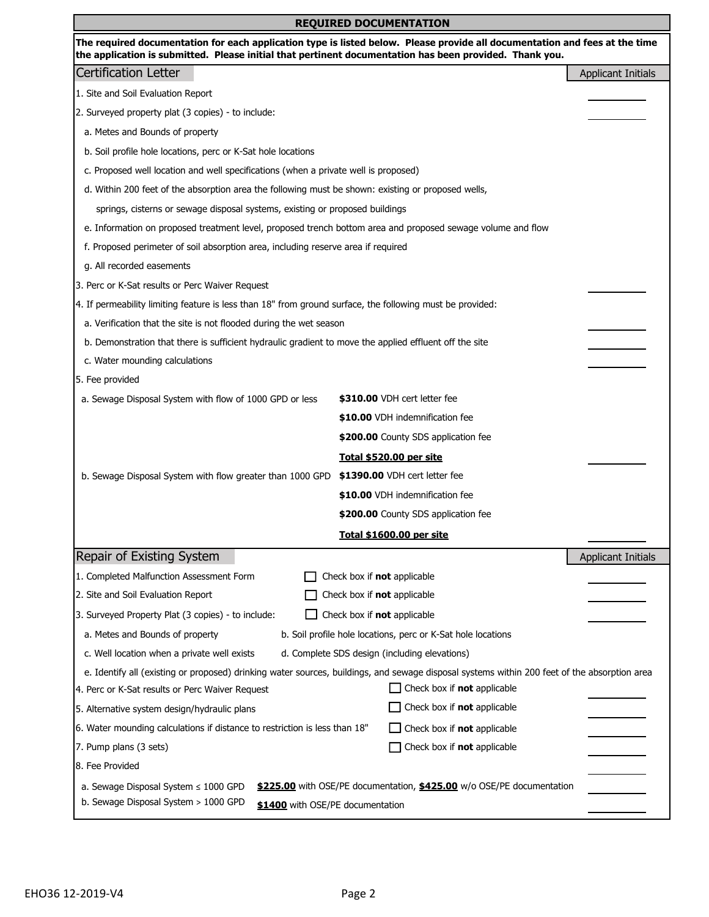| <b>REQUIRED DOCUMENTATION</b>                                                                                                                                                                                                          |                                     |                           |  |  |  |
|----------------------------------------------------------------------------------------------------------------------------------------------------------------------------------------------------------------------------------------|-------------------------------------|---------------------------|--|--|--|
| The required documentation for each application type is listed below. Please provide all documentation and fees at the time<br>the application is submitted. Please initial that pertinent documentation has been provided. Thank you. |                                     |                           |  |  |  |
| <b>Certification Letter</b>                                                                                                                                                                                                            |                                     | <b>Applicant Initials</b> |  |  |  |
| 1. Site and Soil Evaluation Report                                                                                                                                                                                                     |                                     |                           |  |  |  |
| 2. Surveyed property plat (3 copies) - to include:                                                                                                                                                                                     |                                     |                           |  |  |  |
| a. Metes and Bounds of property                                                                                                                                                                                                        |                                     |                           |  |  |  |
| b. Soil profile hole locations, perc or K-Sat hole locations                                                                                                                                                                           |                                     |                           |  |  |  |
| c. Proposed well location and well specifications (when a private well is proposed)                                                                                                                                                    |                                     |                           |  |  |  |
| d. Within 200 feet of the absorption area the following must be shown: existing or proposed wells,                                                                                                                                     |                                     |                           |  |  |  |
| springs, cisterns or sewage disposal systems, existing or proposed buildings                                                                                                                                                           |                                     |                           |  |  |  |
| e. Information on proposed treatment level, proposed trench bottom area and proposed sewage volume and flow                                                                                                                            |                                     |                           |  |  |  |
| f. Proposed perimeter of soil absorption area, including reserve area if required                                                                                                                                                      |                                     |                           |  |  |  |
| g. All recorded easements                                                                                                                                                                                                              |                                     |                           |  |  |  |
| 3. Perc or K-Sat results or Perc Waiver Request                                                                                                                                                                                        |                                     |                           |  |  |  |
| 4. If permeability limiting feature is less than 18" from ground surface, the following must be provided:                                                                                                                              |                                     |                           |  |  |  |
| a. Verification that the site is not flooded during the wet season                                                                                                                                                                     |                                     |                           |  |  |  |
| b. Demonstration that there is sufficient hydraulic gradient to move the applied effluent off the site                                                                                                                                 |                                     |                           |  |  |  |
| c. Water mounding calculations                                                                                                                                                                                                         |                                     |                           |  |  |  |
| 5. Fee provided                                                                                                                                                                                                                        |                                     |                           |  |  |  |
| a. Sewage Disposal System with flow of 1000 GPD or less                                                                                                                                                                                | \$310.00 VDH cert letter fee        |                           |  |  |  |
|                                                                                                                                                                                                                                        | \$10.00 VDH indemnification fee     |                           |  |  |  |
|                                                                                                                                                                                                                                        | \$200.00 County SDS application fee |                           |  |  |  |
|                                                                                                                                                                                                                                        | Total \$520.00 per site             |                           |  |  |  |
| b. Sewage Disposal System with flow greater than 1000 GPD                                                                                                                                                                              | \$1390.00 VDH cert letter fee       |                           |  |  |  |
|                                                                                                                                                                                                                                        | \$10.00 VDH indemnification fee     |                           |  |  |  |
|                                                                                                                                                                                                                                        | \$200.00 County SDS application fee |                           |  |  |  |
|                                                                                                                                                                                                                                        | Total \$1600.00 per site            |                           |  |  |  |
| Repair of Existing System                                                                                                                                                                                                              |                                     | <b>Applicant Initials</b> |  |  |  |
| 1. Completed Malfunction Assessment Form                                                                                                                                                                                               | Check box if not applicable         |                           |  |  |  |
| 2. Site and Soil Evaluation Report                                                                                                                                                                                                     | Check box if not applicable         |                           |  |  |  |
| 3. Surveyed Property Plat (3 copies) - to include:<br>Check box if not applicable                                                                                                                                                      |                                     |                           |  |  |  |
| a. Metes and Bounds of property<br>b. Soil profile hole locations, perc or K-Sat hole locations                                                                                                                                        |                                     |                           |  |  |  |
| c. Well location when a private well exists<br>d. Complete SDS design (including elevations)                                                                                                                                           |                                     |                           |  |  |  |
| e. Identify all (existing or proposed) drinking water sources, buildings, and sewage disposal systems within 200 feet of the absorption area                                                                                           |                                     |                           |  |  |  |
| 4. Perc or K-Sat results or Perc Waiver Request                                                                                                                                                                                        | Check box if not applicable         |                           |  |  |  |
| 5. Alternative system design/hydraulic plans                                                                                                                                                                                           | Check box if not applicable         |                           |  |  |  |
| 6. Water mounding calculations if distance to restriction is less than 18"                                                                                                                                                             | Check box if not applicable         |                           |  |  |  |
| 7. Pump plans (3 sets)                                                                                                                                                                                                                 | Check box if not applicable         |                           |  |  |  |
| 8. Fee Provided                                                                                                                                                                                                                        |                                     |                           |  |  |  |
| a. Sewage Disposal System ≤ 1000 GPD<br>\$225.00 with OSE/PE documentation, \$425.00 w/o OSE/PE documentation                                                                                                                          |                                     |                           |  |  |  |
| b. Sewage Disposal System > 1000 GPD<br>\$1400 with OSE/PE documentation                                                                                                                                                               |                                     |                           |  |  |  |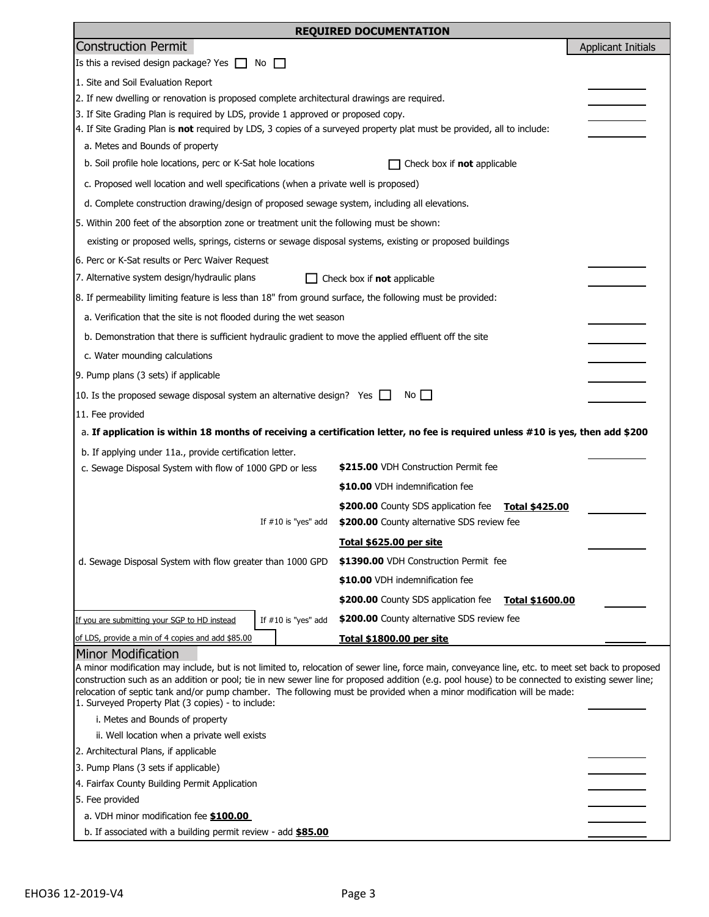| <b>REQUIRED DOCUMENTATION</b>                                                                                                                                                                                                                                            |                                                        |                           |  |  |  |  |  |
|--------------------------------------------------------------------------------------------------------------------------------------------------------------------------------------------------------------------------------------------------------------------------|--------------------------------------------------------|---------------------------|--|--|--|--|--|
| <b>Construction Permit</b>                                                                                                                                                                                                                                               |                                                        | <b>Applicant Initials</b> |  |  |  |  |  |
| Is this a revised design package? Yes $\Box$ No                                                                                                                                                                                                                          |                                                        |                           |  |  |  |  |  |
| 1. Site and Soil Evaluation Report                                                                                                                                                                                                                                       |                                                        |                           |  |  |  |  |  |
| 2. If new dwelling or renovation is proposed complete architectural drawings are required.                                                                                                                                                                               |                                                        |                           |  |  |  |  |  |
| 3. If Site Grading Plan is required by LDS, provide 1 approved or proposed copy.                                                                                                                                                                                         |                                                        |                           |  |  |  |  |  |
| 4. If Site Grading Plan is not required by LDS, 3 copies of a surveyed property plat must be provided, all to include:                                                                                                                                                   |                                                        |                           |  |  |  |  |  |
| a. Metes and Bounds of property                                                                                                                                                                                                                                          |                                                        |                           |  |  |  |  |  |
| b. Soil profile hole locations, perc or K-Sat hole locations                                                                                                                                                                                                             | Check box if not applicable                            |                           |  |  |  |  |  |
| c. Proposed well location and well specifications (when a private well is proposed)                                                                                                                                                                                      |                                                        |                           |  |  |  |  |  |
| d. Complete construction drawing/design of proposed sewage system, including all elevations.                                                                                                                                                                             |                                                        |                           |  |  |  |  |  |
| 5. Within 200 feet of the absorption zone or treatment unit the following must be shown:                                                                                                                                                                                 |                                                        |                           |  |  |  |  |  |
| existing or proposed wells, springs, cisterns or sewage disposal systems, existing or proposed buildings                                                                                                                                                                 |                                                        |                           |  |  |  |  |  |
| 6. Perc or K-Sat results or Perc Waiver Request                                                                                                                                                                                                                          |                                                        |                           |  |  |  |  |  |
| 7. Alternative system design/hydraulic plans                                                                                                                                                                                                                             | $\Box$ Check box if <b>not</b> applicable              |                           |  |  |  |  |  |
| 8. If permeability limiting feature is less than 18" from ground surface, the following must be provided:                                                                                                                                                                |                                                        |                           |  |  |  |  |  |
| a. Verification that the site is not flooded during the wet season                                                                                                                                                                                                       |                                                        |                           |  |  |  |  |  |
| b. Demonstration that there is sufficient hydraulic gradient to move the applied effluent off the site                                                                                                                                                                   |                                                        |                           |  |  |  |  |  |
| c. Water mounding calculations                                                                                                                                                                                                                                           |                                                        |                           |  |  |  |  |  |
| 9. Pump plans (3 sets) if applicable                                                                                                                                                                                                                                     |                                                        |                           |  |  |  |  |  |
| 10. Is the proposed sewage disposal system an alternative design? Yes $\Box$                                                                                                                                                                                             | $No$ $\Box$                                            |                           |  |  |  |  |  |
| 11. Fee provided                                                                                                                                                                                                                                                         |                                                        |                           |  |  |  |  |  |
| a. If application is within 18 months of receiving a certification letter, no fee is required unless #10 is yes, then add \$200                                                                                                                                          |                                                        |                           |  |  |  |  |  |
| b. If applying under 11a., provide certification letter.                                                                                                                                                                                                                 |                                                        |                           |  |  |  |  |  |
| c. Sewage Disposal System with flow of 1000 GPD or less                                                                                                                                                                                                                  | \$215.00 VDH Construction Permit fee                   |                           |  |  |  |  |  |
|                                                                                                                                                                                                                                                                          | \$10.00 VDH indemnification fee                        |                           |  |  |  |  |  |
|                                                                                                                                                                                                                                                                          | \$200.00 County SDS application fee<br>Total \$425.00  |                           |  |  |  |  |  |
| If $#10$ is "yes" add                                                                                                                                                                                                                                                    | \$200.00 County alternative SDS review fee             |                           |  |  |  |  |  |
|                                                                                                                                                                                                                                                                          | Total \$625.00 per site                                |                           |  |  |  |  |  |
| d. Sewage Disposal System with flow greater than 1000 GPD                                                                                                                                                                                                                | \$1390.00 VDH Construction Permit fee                  |                           |  |  |  |  |  |
|                                                                                                                                                                                                                                                                          | \$10.00 VDH indemnification fee                        |                           |  |  |  |  |  |
|                                                                                                                                                                                                                                                                          | \$200.00 County SDS application fee<br>Total \$1600.00 |                           |  |  |  |  |  |
| If $#10$ is "yes" add<br>If you are submitting your SGP to HD instead                                                                                                                                                                                                    | \$200.00 County alternative SDS review fee             |                           |  |  |  |  |  |
| of LDS, provide a min of 4 copies and add \$85.00                                                                                                                                                                                                                        | Total \$1800.00 per site                               |                           |  |  |  |  |  |
| <b>Minor Modification</b>                                                                                                                                                                                                                                                |                                                        |                           |  |  |  |  |  |
| A minor modification may include, but is not limited to, relocation of sewer line, force main, conveyance line, etc. to meet set back to proposed                                                                                                                        |                                                        |                           |  |  |  |  |  |
| construction such as an addition or pool; tie in new sewer line for proposed addition (e.g. pool house) to be connected to existing sewer line;<br>relocation of septic tank and/or pump chamber. The following must be provided when a minor modification will be made: |                                                        |                           |  |  |  |  |  |
| 1. Surveyed Property Plat (3 copies) - to include:                                                                                                                                                                                                                       |                                                        |                           |  |  |  |  |  |
| i. Metes and Bounds of property                                                                                                                                                                                                                                          |                                                        |                           |  |  |  |  |  |
| ii. Well location when a private well exists                                                                                                                                                                                                                             |                                                        |                           |  |  |  |  |  |
| 2. Architectural Plans, if applicable                                                                                                                                                                                                                                    |                                                        |                           |  |  |  |  |  |
| 3. Pump Plans (3 sets if applicable)<br>4. Fairfax County Building Permit Application                                                                                                                                                                                    |                                                        |                           |  |  |  |  |  |
| 5. Fee provided                                                                                                                                                                                                                                                          |                                                        |                           |  |  |  |  |  |
| a. VDH minor modification fee \$100.00                                                                                                                                                                                                                                   |                                                        |                           |  |  |  |  |  |
| b. If associated with a building permit review - add <b>\$85.00</b>                                                                                                                                                                                                      |                                                        |                           |  |  |  |  |  |
|                                                                                                                                                                                                                                                                          |                                                        |                           |  |  |  |  |  |